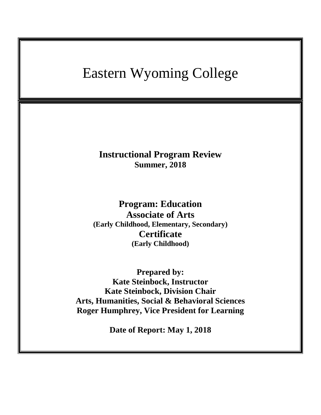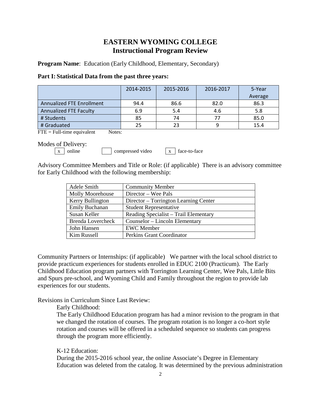# **EASTERN WYOMING COLLEGE Instructional Program Review**

**Program Name**: Education (Early Childhood, Elementary, Secondary)

### **Part I: Statistical Data from the past three years:**

|                                  | 2014-2015 | 2015-2016 | 2016-2017 | 5-Year  |
|----------------------------------|-----------|-----------|-----------|---------|
|                                  |           |           |           | Average |
| <b>Annualized FTE Enrollment</b> | 94.4      | 86.6      | 82.0      | 86.3    |
| <b>Annualized FTE Faculty</b>    | 6.9       | 5.4       | 4.6       | 5.8     |
| # Students                       | 85        | 74        |           | 85.0    |
| # Graduated                      | 25        | 23        |           | 15.4    |

 $\text{FTE} = \text{Full-time equivalent}$  Notes:

Modes of Delivery:

 $\boxed{x}$  online compressed video  $\boxed{x}$  face-to-face

Advisory Committee Members and Title or Role: (if applicable) There is an advisory committee for Early Childhood with the following membership:

| Adele Smith              | <b>Community Member</b>               |
|--------------------------|---------------------------------------|
| Molly Moorehouse         | Director – Wee Pals                   |
| Kerry Bullington         | Director – Torrington Learning Center |
| Emily Buchanan           | <b>Student Representative</b>         |
| Susan Keller             | Reading Specialist – Trail Elementary |
| <b>Brenda Lovercheck</b> | Counselor – Lincoln Elementary        |
| John Hansen              | <b>EWC</b> Member                     |
| Kim Russell              | Perkins Grant Coordinator             |

Community Partners or Internships: (if applicable) We partner with the local school district to provide practicum experiences for students enrolled in EDUC 2100 (Practicum). The Early Childhood Education program partners with Torrington Learning Center, Wee Pals, Little Bits and Spurs pre-school, and Wyoming Child and Family throughout the region to provide lab experiences for our students.

Revisions in Curriculum Since Last Review:

Early Childhood:

The Early Childhood Education program has had a minor revision to the program in that we changed the rotation of courses. The program rotation is no longer a co-hort style rotation and courses will be offered in a scheduled sequence so students can progress through the program more efficiently.

K-12 Education:

During the 2015-2016 school year, the online Associate's Degree in Elementary Education was deleted from the catalog. It was determined by the previous administration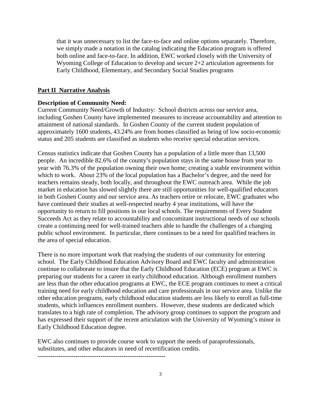that it was unnecessary to list the face-to-face and online options separately. Therefore, we simply made a notation in the catalog indicating the Education program is offered both online and face-to-face. In addition, EWC worked closely with the University of Wyoming College of Education to develop and secure 2+2 articulation agreements for Early Childhood, Elementary, and Secondary Social Studies programs

#### **Part II Narrative Analysis**

#### **Description of Community Need:**

Current Community Need/Growth of Industry: School districts across our service area, including Goshen County have implemented measures to increase accountability and attention to attainment of national standards. In Goshen County of the current student population of approximately 1600 students, 43.24% are from homes classified as being of low socio-economic status and 205 students are classified as students who receive special education services.

Census statistics indicate that Goshen County has a population of a little more than 13,500 people. An incredible 82.6% of the county's population stays in the same house from year to year with 76.3% of the population owning their own home; creating a stable environment within which to work. About 23% of the local population has a Bachelor's degree, and the need for teachers remains steady, both locally, and throughout the EWC outreach area. While the job market in education has slowed slightly there are still opportunities for well-qualified educators in both Goshen County and our service area. As teachers retire or relocate, EWC graduates who have continued their studies at well-respected nearby 4 year institutions, will have the opportunity to return to fill positions in our local schools. The requirements of Every Student Succeeds Act as they relate to accountability and concomitant instructional needs of our schools create a continuing need for well-trained teachers able to handle the challenges of a changing public school environment. In particular, there continues to be a need for qualified teachers in the area of special education.

There is no more important work that readying the students of our community for entering school. The Early Childhood Education Advisory Board and EWC faculty and administration continue to collaborate to insure that the Early Childhood Education (ECE) program at EWC is preparing our students for a career in early childhood education. Although enrollment numbers are less than the other education programs at EWC, the ECE program continues to meet a critical training need for early childhood education and care professionals in our service area. Unlike the other education programs, early childhood education students are less likely to enroll as full-time students, which influences enrollment numbers. However, these students are dedicated which translates to a high rate of completion. The advisory group continues to support the program and has expressed their support of the recent articulation with the University of Wyoming's minor in Early Childhood Education degree.

EWC also continues to provide course work to support the needs of paraprofessionals, substitutes, and other educators in need of recertification credits.

**-------------------------------------------------------------**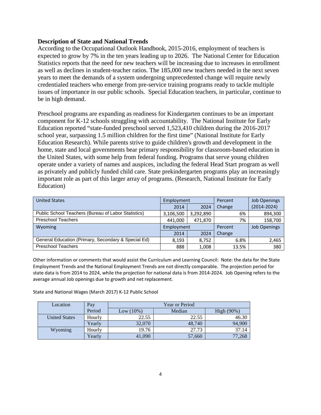# **Description of State and National Trends**

According to the Occupational Outlook Handbook, 2015-2016, employment of teachers is expected to grow by 7% in the ten years leading up to 2026. The National Center for Education Statistics reports that the need for new teachers will be increasing due to increases in enrollment as well as declines in student-teacher ratios. The 185,000 new teachers needed in the next seven years to meet the demands of a system undergoing unprecedented change will require newly credentialed teachers who emerge from pre-service training programs ready to tackle multiple issues of importance in our public schools. Special Education teachers, in particular, continue to be in high demand.

Preschool programs are expanding as readiness for Kindergarten continues to be an important component for K-12 schools struggling with accountability. The National Institute for Early Education reported "state-funded preschool served 1,523,410 children during the 2016-2017 school year, surpassing 1.5 million children for the first time" (National Institute for Early Education Research). While parents strive to guide children's growth and development in the home, state and local governments bear primary responsibility for classroom-based education in the United States, with some help from federal funding. Programs that serve young children operate under a variety of names and auspices, including the federal Head Start program as well as privately and publicly funded child care. State prekindergarten programs play an increasingly important role as part of this larger array of programs. (Research, National Institute for Early Education)

| <b>United States</b>                                | Employment |           | Percent | Job Openings        |
|-----------------------------------------------------|------------|-----------|---------|---------------------|
|                                                     | 2014       | 2024      | Change  | $(2014 - 2024)$     |
| Public School Teachers (Bureau of Labor Statistics) | 3,106,500  | 3,292,890 | 6%      | 894,300             |
| <b>Preschool Teachers</b>                           | 441,000    | 471,870   | 7%      | 158,700             |
| Wyoming                                             | Employment |           | Percent | <b>Job Openings</b> |
|                                                     | 2014       | 2024      | Change  |                     |
| General Education (Primary, Secondary & Special Ed) | 8,193      | 8,752     | 6.8%    | 2,465               |
| <b>Preschool Teachers</b>                           | 888        | 1,008     | 13.5%   | 380                 |

Other information or comments that would assist the Curriculum and Learning Council: Note: the data for the State Employment Trends and the National Employment Trends are not directly comparable. The projection period for state data is from 2014 to 2024, while the projection for national data is from 2014-2024. Job Opening refers to the average annual Job openings due to growth and net replacement.

State and National Wages (March 2017) K-12 Public School

| Location             | Pay    | <b>Year or Period</b> |        |               |  |
|----------------------|--------|-----------------------|--------|---------------|--|
|                      | Period | Low (10%)             | Median | High $(90\%)$ |  |
| <b>United States</b> | Hourly | 22.55                 | 22.55  | 46.30         |  |
|                      | Yearly | 32,070                | 48,740 | 94,900        |  |
| Wyoming              | Hourly | 19.76                 | 27.73  | 37.14         |  |
|                      | Yearly | 41,090                | 57,660 | 77,268        |  |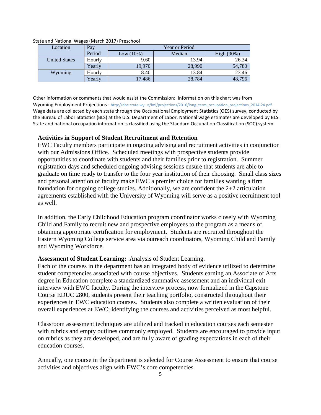| Location             | Pay    | <b>Year or Period</b> |        |            |  |
|----------------------|--------|-----------------------|--------|------------|--|
|                      | Period | Low $(10\%)$          | Median | High (90%) |  |
| <b>United States</b> | Hourly | 9.60                  | 13.94  | 26.34      |  |
|                      | Yearly | 19.970                | 28,990 | 54,780     |  |
| Wyoming              | Hourly | 8.40                  | 13.84  | 23.46      |  |
|                      | Yearlv | 17,486                | 28,784 | 48,796     |  |

State and National Wages (March 2017) Preschool

Other information or comments that would assist the Commission: Information on this chart was from Wyoming Employment Projections - http://doe.state.wy.us/lmi/projections/2016/long\_term\_occupation\_projections\_2014-24.pdf. Wage data are collected by each state through the Occupational Employment Statistics (OES) survey, conducted by the Bureau of Labor Statistics (BLS) at the U.S. Department of Labor. National wage estimates are developed by BLS. State and national occupation information is classified using the Standard Occupation Classification (SOC) system.

# **Activities in Support of Student Recruitment and Retention**

EWC Faculty members participate in ongoing advising and recruitment activities in conjunction with our Admissions Office. Scheduled meetings with prospective students provide opportunities to coordinate with students and their families prior to registration. Summer registration days and scheduled ongoing advising sessions ensure that students are able to graduate on time ready to transfer to the four year institution of their choosing. Small class sizes and personal attention of faculty make EWC a premier choice for families wanting a firm foundation for ongoing college studies. Additionally, we are confident the 2+2 articulation agreements established with the University of Wyoming will serve as a positive recruitment tool as well.

In addition, the Early Childhood Education program coordinator works closely with Wyoming Child and Family to recruit new and prospective employees to the program as a means of obtaining appropriate certification for employment. Students are recruited throughout the Eastern Wyoming College service area via outreach coordinators, Wyoming Child and Family and Wyoming Workforce.

# **Assessment of Student Learning:** Analysis of Student Learning.

Each of the courses in the department has an integrated body of evidence utilized to determine student competencies associated with course objectives. Students earning an Associate of Arts degree in Education complete a standardized summative assessment and an individual exit interview with EWC faculty. During the interview process, now formalized in the Capstone Course EDUC 2800, students present their teaching portfolio, constructed throughout their experiences in EWC education courses. Students also complete a written evaluation of their overall experiences at EWC; identifying the courses and activities perceived as most helpful.

Classroom assessment techniques are utilized and tracked in education courses each semester with rubrics and empty outlines commonly employed. Students are encouraged to provide input on rubrics as they are developed, and are fully aware of grading expectations in each of their education courses.

Annually, one course in the department is selected for Course Assessment to ensure that course activities and objectives align with EWC's core competencies.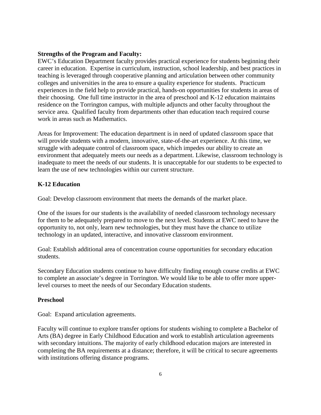# **Strengths of the Program and Faculty:**

EWC's Education Department faculty provides practical experience for students beginning their career in education. Expertise in curriculum, instruction, school leadership, and best practices in teaching is leveraged through cooperative planning and articulation between other community colleges and universities in the area to ensure a quality experience for students. Practicum experiences in the field help to provide practical, hands-on opportunities for students in areas of their choosing. One full time instructor in the area of preschool and K-12 education maintains residence on the Torrington campus, with multiple adjuncts and other faculty throughout the service area. Qualified faculty from departments other than education teach required course work in areas such as Mathematics.

Areas for Improvement: The education department is in need of updated classroom space that will provide students with a modern, innovative, state-of-the-art experience. At this time, we struggle with adequate control of classroom space, which impedes our ability to create an environment that adequately meets our needs as a department. Likewise, classroom technology is inadequate to meet the needs of our students. It is unacceptable for our students to be expected to learn the use of new technologies within our current structure.

# **K-12 Education**

Goal: Develop classroom environment that meets the demands of the market place.

One of the issues for our students is the availability of needed classroom technology necessary for them to be adequately prepared to move to the next level. Students at EWC need to have the opportunity to, not only, learn new technologies, but they must have the chance to utilize technology in an updated, interactive, and innovative classroom environment.

Goal: Establish additional area of concentration course opportunities for secondary education students.

Secondary Education students continue to have difficulty finding enough course credits at EWC to complete an associate's degree in Torrington. We would like to be able to offer more upperlevel courses to meet the needs of our Secondary Education students.

# **Preschool**

Goal: Expand articulation agreements.

Faculty will continue to explore transfer options for students wishing to complete a Bachelor of Arts (BA) degree in Early Childhood Education and work to establish articulation agreements with secondary intuitions. The majority of early childhood education majors are interested in completing the BA requirements at a distance; therefore, it will be critical to secure agreements with institutions offering distance programs.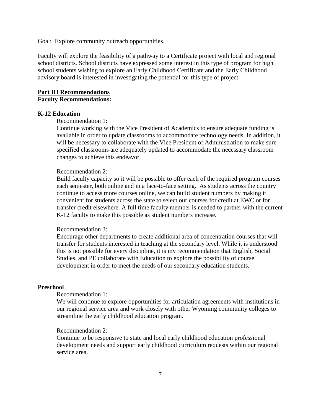Goal: Explore community outreach opportunities.

Faculty will explore the feasibility of a pathway to a Certificate project with local and regional school districts. School districts have expressed some interest in this type of program for high school students wishing to explore an Early Childhood Certificate and the Early Childhood advisory board is interested in investigating the potential for this type of project.

# **Part III Recommendations Faculty Recommendations:**

#### **K-12 Education**

#### Recommendation 1:

Continue working with the Vice President of Academics to ensure adequate funding is available in order to update classrooms to accommodate technology needs. In addition, it will be necessary to collaborate with the Vice President of Administration to make sure specified classrooms are adequately updated to accommodate the necessary classroom changes to achieve this endeavor.

#### Recommendation 2:

Build faculty capacity so it will be possible to offer each of the required program courses each semester, both online and in a face-to-face setting. As students across the country continue to access more courses online, we can build student numbers by making it convenient for students across the state to select our courses for credit at EWC or for transfer credit elsewhere. A full time faculty member is needed to partner with the current K-12 faculty to make this possible as student numbers increase.

#### Recommendation 3:

Encourage other departments to create additional area of concentration courses that will transfer for students interested in teaching at the secondary level. While it is understood this is not possible for every discipline, it is my recommendation that English, Social Studies, and PE collaborate with Education to explore the possibility of course development in order to meet the needs of our secondary education students.

#### **Preschool**

# Recommendation 1:

We will continue to explore opportunities for articulation agreements with institutions in our regional service area and work closely with other Wyoming community colleges to streamline the early childhood education program.

#### Recommendation 2:

Continue to be responsive to state and local early childhood education professional development needs and support early childhood curriculum requests within our regional service area.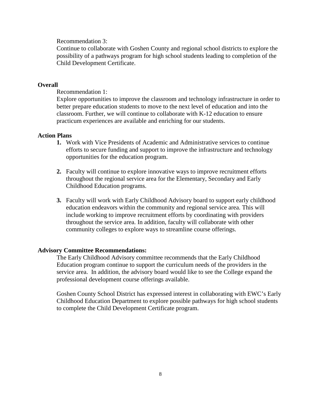Recommendation 3:

Continue to collaborate with Goshen County and regional school districts to explore the possibility of a pathways program for high school students leading to completion of the Child Development Certificate.

# **Overall**

Recommendation 1:

Explore opportunities to improve the classroom and technology infrastructure in order to better prepare education students to move to the next level of education and into the classroom. Further, we will continue to collaborate with K-12 education to ensure practicum experiences are available and enriching for our students.

# **Action Plans**

- **1.** Work with Vice Presidents of Academic and Administrative services to continue efforts to secure funding and support to improve the infrastructure and technology opportunities for the education program.
- **2.** Faculty will continue to explore innovative ways to improve recruitment efforts throughout the regional service area for the Elementary, Secondary and Early Childhood Education programs.
- **3.** Faculty will work with Early Childhood Advisory board to support early childhood education endeavors within the community and regional service area. This will include working to improve recruitment efforts by coordinating with providers throughout the service area. In addition, faculty will collaborate with other community colleges to explore ways to streamline course offerings.

#### **Advisory Committee Recommendations:**

The Early Childhood Advisory committee recommends that the Early Childhood Education program continue to support the curriculum needs of the providers in the service area. In addition, the advisory board would like to see the College expand the professional development course offerings available.

Goshen County School District has expressed interest in collaborating with EWC's Early Childhood Education Department to explore possible pathways for high school students to complete the Child Development Certificate program.